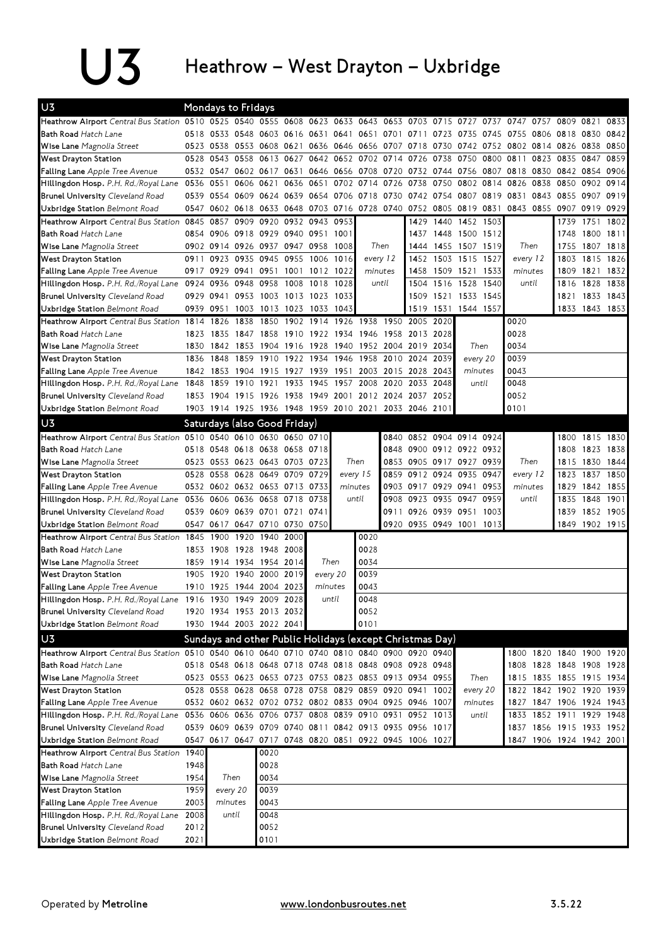## U3 Heathrow – West Drayton – Uxbridge

| U <sub>3</sub>                                                                                   |      | Mondays to Fridays |           |                                    |      |                                          |                                                   |                               |                |                                                                                                             |                     |                        |                        |                                                                                           |           |                |                                                      |           |
|--------------------------------------------------------------------------------------------------|------|--------------------|-----------|------------------------------------|------|------------------------------------------|---------------------------------------------------|-------------------------------|----------------|-------------------------------------------------------------------------------------------------------------|---------------------|------------------------|------------------------|-------------------------------------------------------------------------------------------|-----------|----------------|------------------------------------------------------|-----------|
| Heathrow Airport Central Bus Station 0510 0525 0540 0555 0608 0623 0633 0643 0653 0703 0715 0727 |      |                    |           |                                    |      |                                          |                                                   |                               |                |                                                                                                             |                     |                        |                        | 0737 0747                                                                                 |           | 0757 0809 0821 |                                                      | 0833      |
| <b>Bath Road Hatch Lane</b>                                                                      | 0518 |                    |           |                                    |      |                                          |                                                   |                               |                | 0533 0548 0603 0616 0631 0641 0651 0701 0711 0723 0735                                                      |                     |                        |                        | 0745 0755 0806 0818                                                                       |           |                | 0830                                                 | 0842      |
| Wise Lane Magnolia Street                                                                        |      |                    |           |                                    |      |                                          |                                                   |                               |                |                                                                                                             |                     |                        |                        | 0523 0538 0553 0608 0621 0636 0646 0656 0707 0718 0730 0742 0752 0802 0814 0826 0838 0850 |           |                |                                                      |           |
| West Drayton Station                                                                             | 0528 | 0543 0558          |           |                                    |      |                                          |                                                   | 0613 0627 0642 0652 0702 0714 |                | 0726 0738 0750                                                                                              |                     |                        | 0800                   | 0811                                                                                      |           | 0823 0835      | 0847                                                 | 0859      |
| <b>Falling Lane</b> Apple Tree Avenue                                                            |      |                    |           | 0532 0547 0602 0617 0631           |      |                                          |                                                   | 0646 0656 0708 0720           |                | 0732 0744 0756                                                                                              |                     |                        |                        | 0807 0818                                                                                 |           | 0830 0842 0854 |                                                      | 0906      |
| Hillingdon Hosp. P.H. Rd./Royal Lane                                                             | 0536 | 0551               |           | 0606 0621                          | 0636 | 0651                                     |                                                   | 0702 0714 0726                |                |                                                                                                             | 0738 0750 0802 0814 |                        |                        | 0826                                                                                      | 0838      | 0850           |                                                      | 0902 0914 |
| <b>Brunel University Cleveland Road</b>                                                          | 0539 |                    |           | 0554 0609 0624 0639                |      |                                          |                                                   |                               |                | 0654 0706 0718 0730 0742 0754 0807 0819                                                                     |                     |                        |                        | 0831                                                                                      | 0843 0855 |                | 0907                                                 | 0919      |
| Uxbridge Station Belmont Road                                                                    | 0547 |                    |           |                                    |      |                                          |                                                   |                               |                |                                                                                                             |                     |                        |                        | 0602 0618 0633 0648 0703 0716 0728 0740 0752 0805 0819 0831 0843 0855 0907 0919 0929      |           |                |                                                      |           |
| Heathrow Airport Central Bus Station                                                             | 0845 | 0857               |           | 0909 0920 0932 0943 0953           |      |                                          |                                                   |                               |                |                                                                                                             | 1429 1440 1452 1503 |                        |                        |                                                                                           |           | 1739           | 1751                                                 | 1802      |
| <b>Bath Road Hatch Lane</b>                                                                      |      |                    |           | 0854 0906 0918 0929 0940 0951 1001 |      |                                          |                                                   |                               |                | 1437                                                                                                        | 1448 1500 1512      |                        |                        |                                                                                           |           | 1748           | 1800 1811                                            |           |
| Wise Lane Magnolia Street                                                                        |      |                    |           | 0902 0914 0926 0937 0947 0958      |      |                                          | Then<br>1008                                      |                               |                |                                                                                                             | 1444 1455 1507      |                        | 1519                   | Then                                                                                      |           | 1755           | 1807                                                 | 1818      |
| West Drayton Station                                                                             | 0911 | 0923               |           | 0935 0945 0955                     |      | 1006                                     | 1016                                              | every 12                      |                | 1452                                                                                                        | 1503 1515           |                        | 1527                   | every 12                                                                                  |           | 1803           | 1815                                                 | 1826      |
| <b>Falling Lane</b> Apple Tree Avenue                                                            | 0917 |                    |           | 0929 0941 0951 1001                |      | 1012 1022                                |                                                   | minutes                       |                |                                                                                                             | 1458 1509 1521      |                        | 1533                   | minutes                                                                                   |           | 1809           | 1821                                                 | 1832      |
| Hillingdon Hosp. P.H. Rd./Royal Lane                                                             | 0924 | 0936               | 0948      | 0958                               | 1008 | 1018                                     | 1028                                              | until                         |                |                                                                                                             | 1504 1516 1528      |                        | 1540                   |                                                                                           | until     | 1816           | 1828                                                 | 1838      |
| <b>Brunel University Cleveland Road</b>                                                          | 0929 | 0941               |           | 0953 1003 1013 1023                |      |                                          | 1033                                              |                               |                |                                                                                                             | 1509 1521 1533      |                        | 1545                   |                                                                                           |           | 1821           |                                                      | 1833 1843 |
| Uxbridge Station Belmont Road                                                                    | 0939 | 0951               |           | 1003 1013 1023                     |      | 1033                                     | 1043                                              |                               |                |                                                                                                             |                     | 1519 1531 1544 1557    |                        |                                                                                           |           | 1833           | 1843 1853                                            |           |
| Heathrow Airport Central Bus Station 1814 1826                                                   |      |                    |           | 1838 1850                          |      |                                          | 1902 1914 1926 1938                               |                               |                | 1950 2005 2020                                                                                              |                     |                        |                        | 0020                                                                                      |           |                |                                                      |           |
| <b>Bath Road Hatch Lane</b>                                                                      | 1823 | 1835               |           | 1847 1858                          | 1910 |                                          | 1922 1934 1946 1958                               |                               |                | 2013 2028                                                                                                   |                     |                        |                        | 0028                                                                                      |           |                |                                                      |           |
| Wise Lane Magnolia Street                                                                        | 1830 | 1842               |           |                                    |      |                                          | 1853 1904 1916 1928 1940 1952 2004 2019 2034      |                               |                |                                                                                                             |                     | Then                   |                        | 0034                                                                                      |           |                |                                                      |           |
| West Drayton Station                                                                             | 1836 | 1848               |           | 1859 1910 1922 1934 1946           |      |                                          |                                                   |                               |                | 1958 2010 2024 2039                                                                                         |                     | every 20               |                        | 0039                                                                                      |           |                |                                                      |           |
| Falling Lane Apple Tree Avenue                                                                   | 1842 |                    |           |                                    |      |                                          | 1853 1904 1915 1927 1939 1951 2003 2015 2028 2043 |                               |                |                                                                                                             |                     | minutes                |                        | 0043                                                                                      |           |                |                                                      |           |
| Hillingdon Hosp. P.H. Rd./Royal Lane                                                             | 1848 | 1859               | 1910 1921 |                                    | 1933 | 1945                                     | 1957<br>2008<br>2020                              |                               |                | 2033                                                                                                        | 2048                |                        | until                  | 0048                                                                                      |           |                |                                                      |           |
| <b>Brunel University Cleveland Road</b>                                                          | 1853 |                    |           | 1904 1915 1926                     | 1938 |                                          |                                                   |                               |                | 1949 2001 2012 2024 2037 2052                                                                               |                     |                        |                        | 0052                                                                                      |           |                |                                                      |           |
| Uxbridge Station Belmont Road                                                                    |      |                    |           |                                    |      |                                          |                                                   |                               |                | 1903 1914 1925 1936 1948 1959 2010 2021 2033 2046 2101                                                      |                     |                        |                        | 0101                                                                                      |           |                |                                                      |           |
| U <sub>3</sub>                                                                                   |      |                    |           | Saturdays (also Good Friday)       |      |                                          |                                                   |                               |                |                                                                                                             |                     |                        |                        |                                                                                           |           |                |                                                      |           |
| Heathrow Airport Central Bus Station 0510 0540 0610 0630 0650 0710                               |      |                    |           |                                    |      |                                          |                                                   |                               | 0840           |                                                                                                             | 0852 0904 0914 0924 |                        |                        |                                                                                           |           | 1800           | 1815 1830                                            |           |
| <b>Bath Road Hatch Lane</b>                                                                      |      |                    |           | 0518 0548 0618 0638 0658           |      | 0718                                     |                                                   |                               | 0848           | 0900 0912 0922 0932                                                                                         |                     |                        |                        |                                                                                           |           | 1808           | 1823                                                 | 1838      |
| Wise Lane Magnolia Street                                                                        |      |                    |           | 0523 0553 0623 0643 0703           |      |                                          | Then<br>0723<br>every 15                          |                               | 0853           |                                                                                                             |                     |                        | 0905 0917 0927<br>0939 |                                                                                           | Then      | 1815           | 1830                                                 | 1844      |
| West Drayton Station                                                                             | 0528 | 0558               |           | 0628 0649 0709                     |      | 0729                                     |                                                   |                               | 0859           |                                                                                                             |                     | 0912 0924 0935<br>0947 |                        | every 12                                                                                  |           | 1823           | 1837                                                 | 1850      |
| <b>Falling Lane</b> Apple Tree Avenue                                                            |      |                    |           |                                    |      | 0532 0602 0632 0653 0713 0733<br>minutes |                                                   | 0903                          | 0917 0929 0941 |                                                                                                             |                     | 0953                   | minutes                |                                                                                           | 1829      | 1842 1855      |                                                      |           |
| Hillingdon Hosp. P.H. Rd./Royal Lane                                                             | 0536 |                    | 0606 0636 | 0658 0718                          |      | 0738                                     |                                                   | until                         | 0908           |                                                                                                             | 0923 0935 0947      |                        | 0959                   |                                                                                           | until     | 1835           | 1848                                                 | 1901      |
| <b>Brunel University Cleveland Road</b>                                                          | 0539 |                    |           | 0609 0639 0701 0721                |      | 0741                                     |                                                   |                               | 0911           |                                                                                                             | 0926 0939 0951      |                        | 1003                   |                                                                                           |           | 1839           |                                                      | 1852 1905 |
| Uxbridge Station Belmont Road                                                                    |      |                    |           | 0547 0617 0647 0710 0730 0750      |      |                                          |                                                   |                               |                | 0920 0935 0949 1001                                                                                         |                     |                        | 1013                   |                                                                                           |           | 1849           | 1902 1915                                            |           |
| Heathrow Airport Central Bus Station 1845                                                        |      | 1900               |           | 1920 1940 2000                     |      |                                          |                                                   | 0020                          |                |                                                                                                             |                     |                        |                        |                                                                                           |           |                |                                                      |           |
| <b>Bath Road Hatch Lane</b>                                                                      | 1853 | 1908               |           | 1928 1948 2008                     |      |                                          |                                                   | 0028                          |                |                                                                                                             |                     |                        |                        |                                                                                           |           |                |                                                      |           |
| Wise Lane Magnolia Street                                                                        | 1859 |                    |           | 1914 1934 1954 2014                |      |                                          | Then                                              | 0034                          |                |                                                                                                             |                     |                        |                        |                                                                                           |           |                |                                                      |           |
| West Drayton Station                                                                             | 1905 | 1920               |           | 1940 2000 2019                     |      |                                          | every 20                                          | 0039                          |                |                                                                                                             |                     |                        |                        |                                                                                           |           |                |                                                      |           |
| Falling Lane Apple Tree Avenue                                                                   | 1910 |                    |           | 1925 1944 2004 2023                |      |                                          | minutes                                           | 0043                          |                |                                                                                                             |                     |                        |                        |                                                                                           |           |                |                                                      |           |
| Hillingdon Hosp. P.H. Rd./Royal Lane 1916                                                        |      | 1930               |           | 1949 2009                          | 2028 |                                          | until                                             | 0048                          |                |                                                                                                             |                     |                        |                        |                                                                                           |           |                |                                                      |           |
| <b>Brunel University Cleveland Road</b>                                                          |      |                    |           | 1920 1934 1953 2013 2032           |      |                                          |                                                   | 0052                          |                |                                                                                                             |                     |                        |                        |                                                                                           |           |                |                                                      |           |
| Uxbridge Station Belmont Road                                                                    |      |                    |           | 1930 1944 2003 2022 2041           |      |                                          |                                                   | 0101                          |                |                                                                                                             |                     |                        |                        |                                                                                           |           |                |                                                      |           |
| U <sub>3</sub>                                                                                   |      |                    |           |                                    |      |                                          |                                                   |                               |                |                                                                                                             |                     |                        |                        |                                                                                           |           |                |                                                      |           |
| Heathrow Airport Central Bus Station 0510 0540 0610 0640 0710 0740 0810 0840 0900 0920 0940      |      |                    |           |                                    |      |                                          |                                                   |                               |                | Sundays and other Public Holidays (except Christmas Day)                                                    |                     |                        |                        |                                                                                           |           |                |                                                      |           |
|                                                                                                  |      |                    |           |                                    |      |                                          |                                                   |                               |                |                                                                                                             |                     |                        |                        |                                                                                           |           |                | 1800 1820 1840 1900 1920                             |           |
| Bath Road Hatch Lane                                                                             |      |                    |           |                                    |      |                                          |                                                   |                               |                | 0518 0548 0618 0648 0718 0748 0818 0848 0908 0928 0948                                                      |                     |                        |                        |                                                                                           |           |                | 1808 1828 1848 1908 1928                             |           |
| Wise Lane Magnolia Street                                                                        |      |                    |           |                                    |      |                                          |                                                   |                               |                | 0523 0553 0623 0653 0723 0753 0823 0853 0913 0934 0955<br>0528 0558 0628 0658 0728 0758 0829 0859 0920 0941 |                     | every 20               | Then                   |                                                                                           |           |                | 1815 1835 1855 1915 1934<br>1822 1842 1902 1920 1939 |           |
| West Drayton Station<br>Falling Lane Apple Tree Avenue                                           |      |                    |           |                                    |      |                                          |                                                   |                               |                | 0532 0602 0632 0702 0732 0802 0833 0904 0925 0946 1007                                                      | 1002                |                        | minutes                |                                                                                           |           |                | 1827 1847 1906 1924 1943                             |           |
|                                                                                                  |      |                    |           |                                    |      |                                          |                                                   |                               |                | 0536 0606 0636 0706 0737 0808 0839 0910 0931 0952 1013                                                      |                     |                        | until                  |                                                                                           |           |                | 1833 1852 1911 1929 1948                             |           |
| Hillingdon Hosp. P.H. Rd./Royal Lane                                                             |      |                    |           |                                    |      |                                          |                                                   |                               |                |                                                                                                             |                     |                        |                        |                                                                                           |           |                | 1837 1856 1915 1933 1952                             |           |
| <b>Brunel University Cleveland Road</b>                                                          |      |                    |           |                                    |      |                                          |                                                   |                               |                | 0539 0609 0639 0709 0740 0811 0842 0913 0935 0956 1017                                                      |                     |                        |                        |                                                                                           |           |                |                                                      |           |
| Uxbridge Station Belmont Road                                                                    |      |                    |           |                                    |      |                                          |                                                   |                               |                | 0547 0617 0647 0717 0748 0820 0851 0922 0945 1006 1027                                                      |                     |                        |                        | 1847                                                                                      |           |                | 1906 1924 1942 2001                                  |           |
| Heathrow Airport Central Bus Station                                                             | 1940 |                    |           | 0020                               |      |                                          |                                                   |                               |                |                                                                                                             |                     |                        |                        |                                                                                           |           |                |                                                      |           |
| Bath Road Hatch Lane                                                                             | 1948 |                    |           | 0028                               |      |                                          |                                                   |                               |                |                                                                                                             |                     |                        |                        |                                                                                           |           |                |                                                      |           |
| Wise Lane Magnolia Street                                                                        | 1954 |                    | Then      | 0034                               |      |                                          |                                                   |                               |                |                                                                                                             |                     |                        |                        |                                                                                           |           |                |                                                      |           |
| West Drayton Station                                                                             | 1959 |                    | every 20  | 0039                               |      |                                          |                                                   |                               |                |                                                                                                             |                     |                        |                        |                                                                                           |           |                |                                                      |           |
| Falling Lane Apple Tree Avenue                                                                   | 2003 | minutes            |           | 0043                               |      |                                          |                                                   |                               |                |                                                                                                             |                     |                        |                        |                                                                                           |           |                |                                                      |           |
| Hillingdon Hosp. P.H. Rd./Royal Lane                                                             | 2008 |                    | until     | 0048                               |      |                                          |                                                   |                               |                |                                                                                                             |                     |                        |                        |                                                                                           |           |                |                                                      |           |
| <b>Brunel University Cleveland Road</b>                                                          | 2012 |                    |           | 0052                               |      |                                          |                                                   |                               |                |                                                                                                             |                     |                        |                        |                                                                                           |           |                |                                                      |           |
| Uxbridge Station Belmont Road                                                                    | 2021 |                    |           | 0101                               |      |                                          |                                                   |                               |                |                                                                                                             |                     |                        |                        |                                                                                           |           |                |                                                      |           |